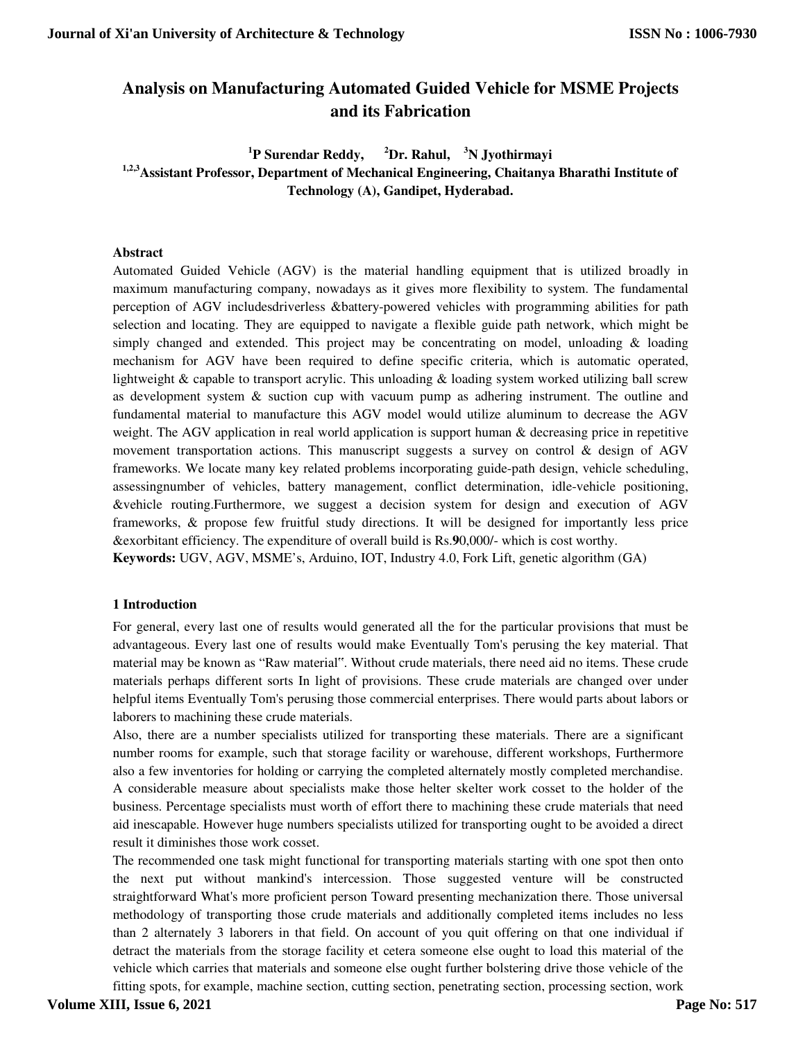# **Analysis on Manufacturing Automated Guided Vehicle for MSME Projects and its Fabrication**

<sup>1</sup>P Surendar Reddy, **P Surendar Reddy, <sup>2</sup>Dr. Rahul, <sup>3</sup>N Jyothirmayi 1,2,3Assistant Professor, Department of Mechanical Engineering, Chaitanya Bharathi Institute of Technology (A), Gandipet, Hyderabad.** 

#### **Abstract**

Automated Guided Vehicle (AGV) is the material handling equipment that is utilized broadly in maximum manufacturing company, nowadays as it gives more flexibility to system. The fundamental perception of AGV includesdriverless &battery-powered vehicles with programming abilities for path selection and locating. They are equipped to navigate a flexible guide path network, which might be simply changed and extended. This project may be concentrating on model, unloading  $\&$  loading mechanism for AGV have been required to define specific criteria, which is automatic operated, lightweight & capable to transport acrylic. This unloading & loading system worked utilizing ball screw as development system  $\&$  suction cup with vacuum pump as adhering instrument. The outline and fundamental material to manufacture this AGV model would utilize aluminum to decrease the AGV weight. The AGV application in real world application is support human & decreasing price in repetitive movement transportation actions. This manuscript suggests a survey on control & design of AGV frameworks. We locate many key related problems incorporating guide-path design, vehicle scheduling, assessingnumber of vehicles, battery management, conflict determination, idle-vehicle positioning, &vehicle routing.Furthermore, we suggest a decision system for design and execution of AGV frameworks, & propose few fruitful study directions. It will be designed for importantly less price &exorbitant efficiency. The expenditure of overall build is Rs.**9**0,000/- which is cost worthy. **Keywords:** UGV, AGV, MSME's, Arduino, IOT, Industry 4.0, Fork Lift, genetic algorithm (GA)

#### **1 Introduction**

For general, every last one of results would generated all the for the particular provisions that must be advantageous. Every last one of results would make Eventually Tom's perusing the key material. That material may be known as "Raw material". Without crude materials, there need aid no items. These crude materials perhaps different sorts In light of provisions. These crude materials are changed over under helpful items Eventually Tom's perusing those commercial enterprises. There would parts about labors or laborers to machining these crude materials.

Also, there are a number specialists utilized for transporting these materials. There are a significant number rooms for example, such that storage facility or warehouse, different workshops, Furthermore also a few inventories for holding or carrying the completed alternately mostly completed merchandise. A considerable measure about specialists make those helter skelter work cosset to the holder of the business. Percentage specialists must worth of effort there to machining these crude materials that need aid inescapable. However huge numbers specialists utilized for transporting ought to be avoided a direct result it diminishes those work cosset.

The recommended one task might functional for transporting materials starting with one spot then onto the next put without mankind's intercession. Those suggested venture will be constructed straightforward What's more proficient person Toward presenting mechanization there. Those universal methodology of transporting those crude materials and additionally completed items includes no less than 2 alternately 3 laborers in that field. On account of you quit offering on that one individual if detract the materials from the storage facility et cetera someone else ought to load this material of the vehicle which carries that materials and someone else ought further bolstering drive those vehicle of the fitting spots, for example, machine section, cutting section, penetrating section, processing section, work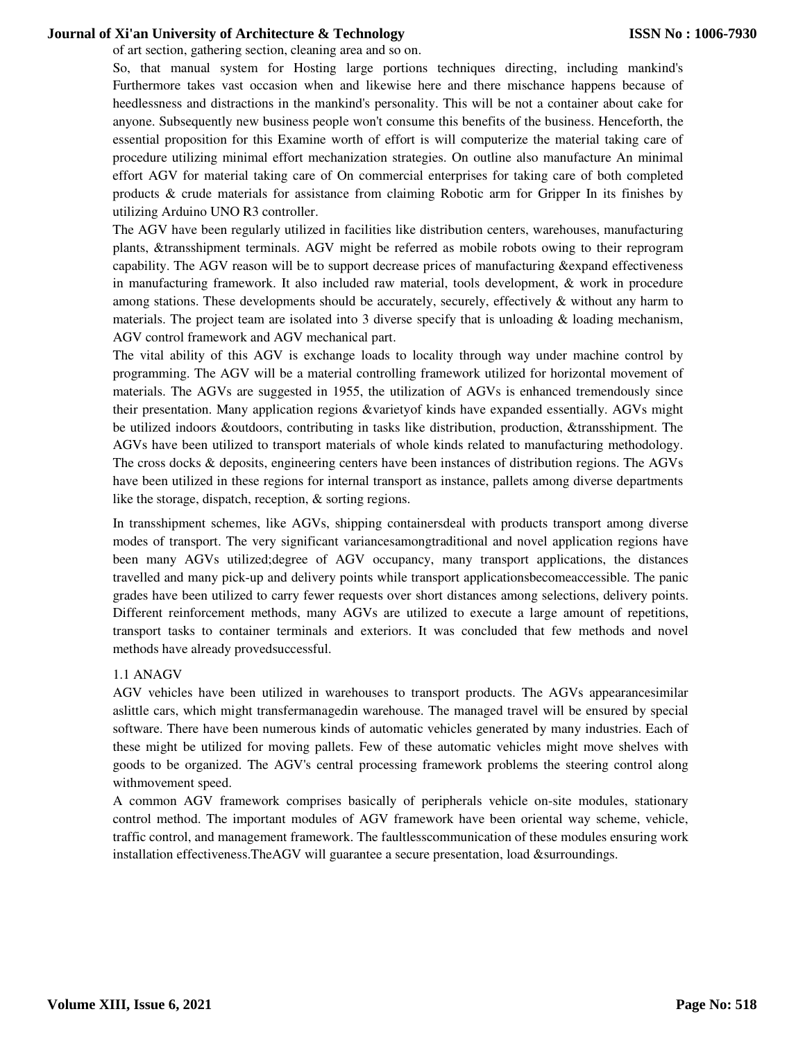of art section, gathering section, cleaning area and so on.

So, that manual system for Hosting large portions techniques directing, including mankind's Furthermore takes vast occasion when and likewise here and there mischance happens because of heedlessness and distractions in the mankind's personality. This will be not a container about cake for anyone. Subsequently new business people won't consume this benefits of the business. Henceforth, the essential proposition for this Examine worth of effort is will computerize the material taking care of procedure utilizing minimal effort mechanization strategies. On outline also manufacture An minimal effort AGV for material taking care of On commercial enterprises for taking care of both completed products & crude materials for assistance from claiming Robotic arm for Gripper In its finishes by utilizing Arduino UNO R3 controller.

The AGV have been regularly utilized in facilities like distribution centers, warehouses, manufacturing plants, &transshipment terminals. AGV might be referred as mobile robots owing to their reprogram capability. The AGV reason will be to support decrease prices of manufacturing &expand effectiveness in manufacturing framework. It also included raw material, tools development, & work in procedure among stations. These developments should be accurately, securely, effectively & without any harm to materials. The project team are isolated into 3 diverse specify that is unloading & loading mechanism, AGV control framework and AGV mechanical part.

The vital ability of this AGV is exchange loads to locality through way under machine control by programming. The AGV will be a material controlling framework utilized for horizontal movement of materials. The AGVs are suggested in 1955, the utilization of AGVs is enhanced tremendously since their presentation. Many application regions &varietyof kinds have expanded essentially. AGVs might be utilized indoors &outdoors, contributing in tasks like distribution, production, &transshipment. The AGVs have been utilized to transport materials of whole kinds related to manufacturing methodology. The cross docks & deposits, engineering centers have been instances of distribution regions. The AGVs have been utilized in these regions for internal transport as instance, pallets among diverse departments like the storage, dispatch, reception, & sorting regions.

In transshipment schemes, like AGVs, shipping containersdeal with products transport among diverse modes of transport. The very significant variancesamongtraditional and novel application regions have been many AGVs utilized;degree of AGV occupancy, many transport applications, the distances travelled and many pick-up and delivery points while transport applicationsbecomeaccessible. The panic grades have been utilized to carry fewer requests over short distances among selections, delivery points. Different reinforcement methods, many AGVs are utilized to execute a large amount of repetitions, transport tasks to container terminals and exteriors. It was concluded that few methods and novel methods have already provedsuccessful.

#### 1.1 ANAGV

AGV vehicles have been utilized in warehouses to transport products. The AGVs appearancesimilar aslittle cars, which might transfermanagedin warehouse. The managed travel will be ensured by special software. There have been numerous kinds of automatic vehicles generated by many industries. Each of these might be utilized for moving pallets. Few of these automatic vehicles might move shelves with goods to be organized. The AGV's central processing framework problems the steering control along withmovement speed.

A common AGV framework comprises basically of peripherals vehicle on-site modules, stationary control method. The important modules of AGV framework have been oriental way scheme, vehicle, traffic control, and management framework. The faultlesscommunication of these modules ensuring work installation effectiveness.TheAGV will guarantee a secure presentation, load &surroundings.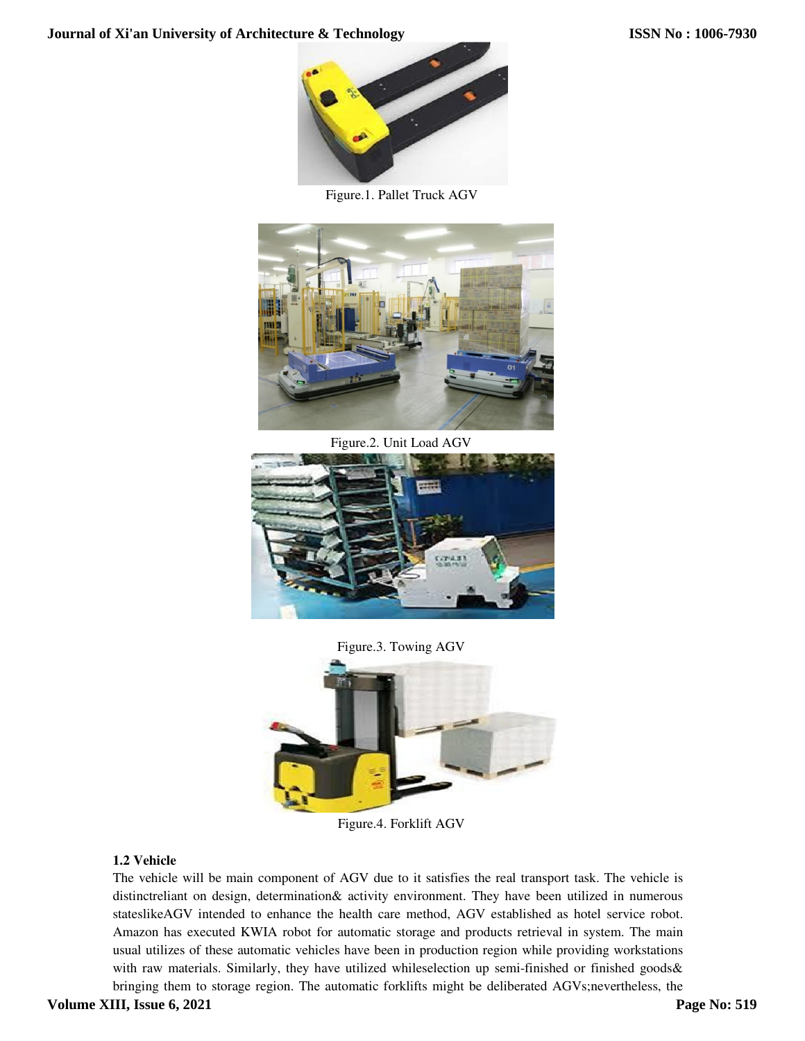

Figure.1. Pallet Truck AGV



Figure.2. Unit Load AGV



Figure.3. Towing AGV



Figure.4. Forklift AGV

## **1.2 Vehicle**

The vehicle will be main component of AGV due to it satisfies the real transport task. The vehicle is distinctreliant on design, determination& activity environment. They have been utilized in numerous stateslikeAGV intended to enhance the health care method, AGV established as hotel service robot. Amazon has executed KWIA robot for automatic storage and products retrieval in system. The main usual utilizes of these automatic vehicles have been in production region while providing workstations with raw materials. Similarly, they have utilized whileselection up semi-finished or finished goods & bringing them to storage region. The automatic forklifts might be deliberated AGVs;nevertheless, the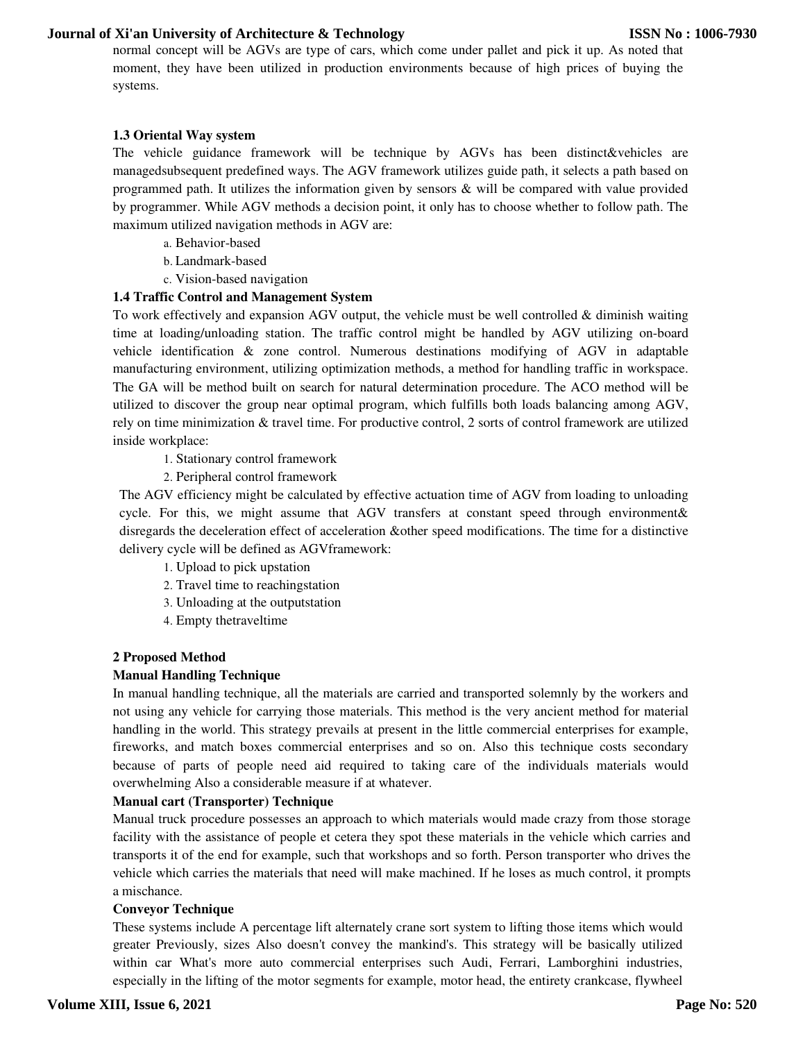normal concept will be AGVs are type of cars, which come under pallet and pick it up. As noted that moment, they have been utilized in production environments because of high prices of buying the systems.

#### **1.3 Oriental Way system**

The vehicle guidance framework will be technique by AGVs has been distinct&vehicles are managedsubsequent predefined ways. The AGV framework utilizes guide path, it selects a path based on programmed path. It utilizes the information given by sensors & will be compared with value provided by programmer. While AGV methods a decision point, it only has to choose whether to follow path. The maximum utilized navigation methods in AGV are:

- a. Behavior-based
- b. Landmark-based
- c. Vision-based navigation

#### **1.4 Traffic Control and Management System**

To work effectively and expansion AGV output, the vehicle must be well controlled  $\&$  diminish waiting time at loading/unloading station. The traffic control might be handled by AGV utilizing on-board vehicle identification & zone control. Numerous destinations modifying of AGV in adaptable manufacturing environment, utilizing optimization methods, a method for handling traffic in workspace. The GA will be method built on search for natural determination procedure. The ACO method will be utilized to discover the group near optimal program, which fulfills both loads balancing among AGV, rely on time minimization & travel time. For productive control, 2 sorts of control framework are utilized inside workplace:

- 1. Stationary control framework
- 2. Peripheral control framework

The AGV efficiency might be calculated by effective actuation time of AGV from loading to unloading cycle. For this, we might assume that AGV transfers at constant speed through environment& disregards the deceleration effect of acceleration &other speed modifications. The time for a distinctive delivery cycle will be defined as AGVframework:

- 1. Upload to pick upstation
- 2. Travel time to reachingstation
- 3. Unloading at the outputstation
- 4. Empty thetraveltime

#### **2 Proposed Method**

#### **Manual Handling Technique**

In manual handling technique, all the materials are carried and transported solemnly by the workers and not using any vehicle for carrying those materials. This method is the very ancient method for material handling in the world. This strategy prevails at present in the little commercial enterprises for example, fireworks, and match boxes commercial enterprises and so on. Also this technique costs secondary because of parts of people need aid required to taking care of the individuals materials would overwhelming Also a considerable measure if at whatever.

#### **Manual cart (Transporter) Technique**

Manual truck procedure possesses an approach to which materials would made crazy from those storage facility with the assistance of people et cetera they spot these materials in the vehicle which carries and transports it of the end for example, such that workshops and so forth. Person transporter who drives the vehicle which carries the materials that need will make machined. If he loses as much control, it prompts a mischance.

#### **Conveyor Technique**

These systems include A percentage lift alternately crane sort system to lifting those items which would greater Previously, sizes Also doesn't convey the mankind's. This strategy will be basically utilized within car What's more auto commercial enterprises such Audi, Ferrari, Lamborghini industries, especially in the lifting of the motor segments for example, motor head, the entirety crankcase, flywheel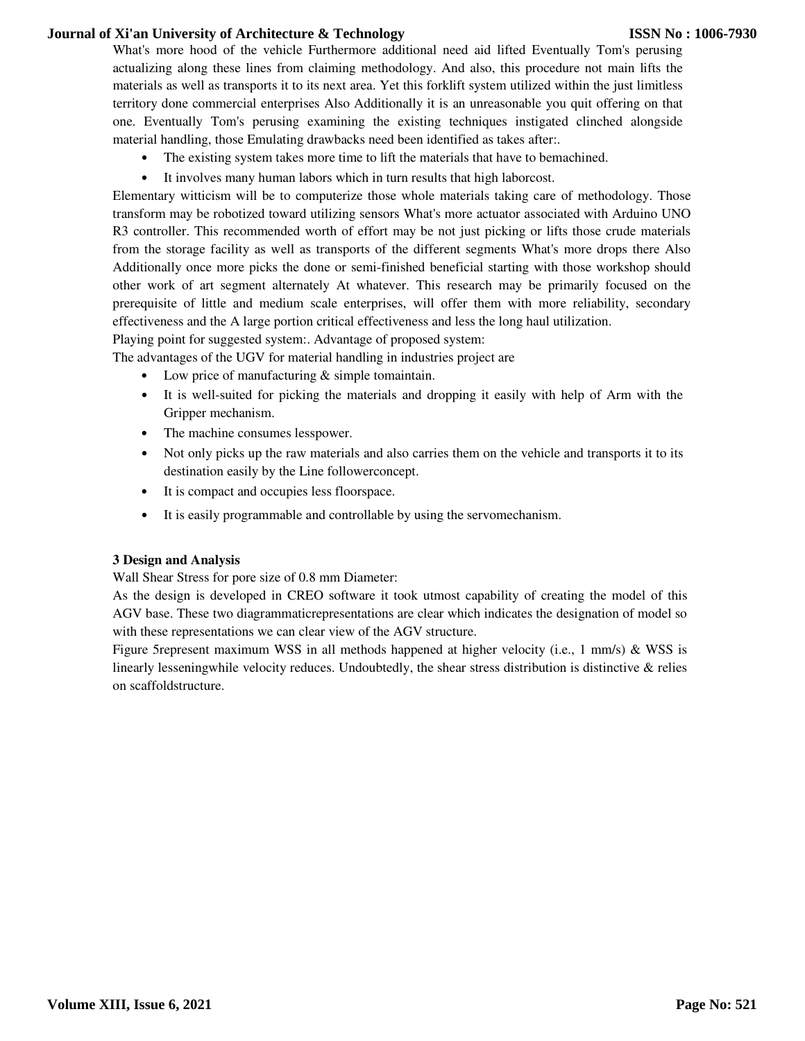What's more hood of the vehicle Furthermore additional need aid lifted Eventually Tom's perusing actualizing along these lines from claiming methodology. And also, this procedure not main lifts the materials as well as transports it to its next area. Yet this forklift system utilized within the just limitless territory done commercial enterprises Also Additionally it is an unreasonable you quit offering on that one. Eventually Tom's perusing examining the existing techniques instigated clinched alongside material handling, those Emulating drawbacks need been identified as takes after:.

- The existing system takes more time to lift the materials that have to bemachined.
- It involves many human labors which in turn results that high laborcost.

Elementary witticism will be to computerize those whole materials taking care of methodology. Those transform may be robotized toward utilizing sensors What's more actuator associated with Arduino UNO R3 controller. This recommended worth of effort may be not just picking or lifts those crude materials from the storage facility as well as transports of the different segments What's more drops there Also Additionally once more picks the done or semi-finished beneficial starting with those workshop should other work of art segment alternately At whatever. This research may be primarily focused on the prerequisite of little and medium scale enterprises, will offer them with more reliability, secondary effectiveness and the A large portion critical effectiveness and less the long haul utilization.

Playing point for suggested system:. Advantage of proposed system:

The advantages of the UGV for material handling in industries project are

- Low price of manufacturing & simple tomaintain.
- It is well-suited for picking the materials and dropping it easily with help of Arm with the Gripper mechanism.
- The machine consumes lesspower.
- Not only picks up the raw materials and also carries them on the vehicle and transports it to its destination easily by the Line followerconcept.
- It is compact and occupies less floorspace.
- It is easily programmable and controllable by using the servomechanism.

#### **3 Design and Analysis**

Wall Shear Stress for pore size of 0.8 mm Diameter:

As the design is developed in CREO software it took utmost capability of creating the model of this AGV base. These two diagrammaticrepresentations are clear which indicates the designation of model so with these representations we can clear view of the AGV structure.

Figure 5represent maximum WSS in all methods happened at higher velocity (i.e., 1 mm/s) & WSS is linearly lesseningwhile velocity reduces. Undoubtedly, the shear stress distribution is distinctive & relies on scaffoldstructure.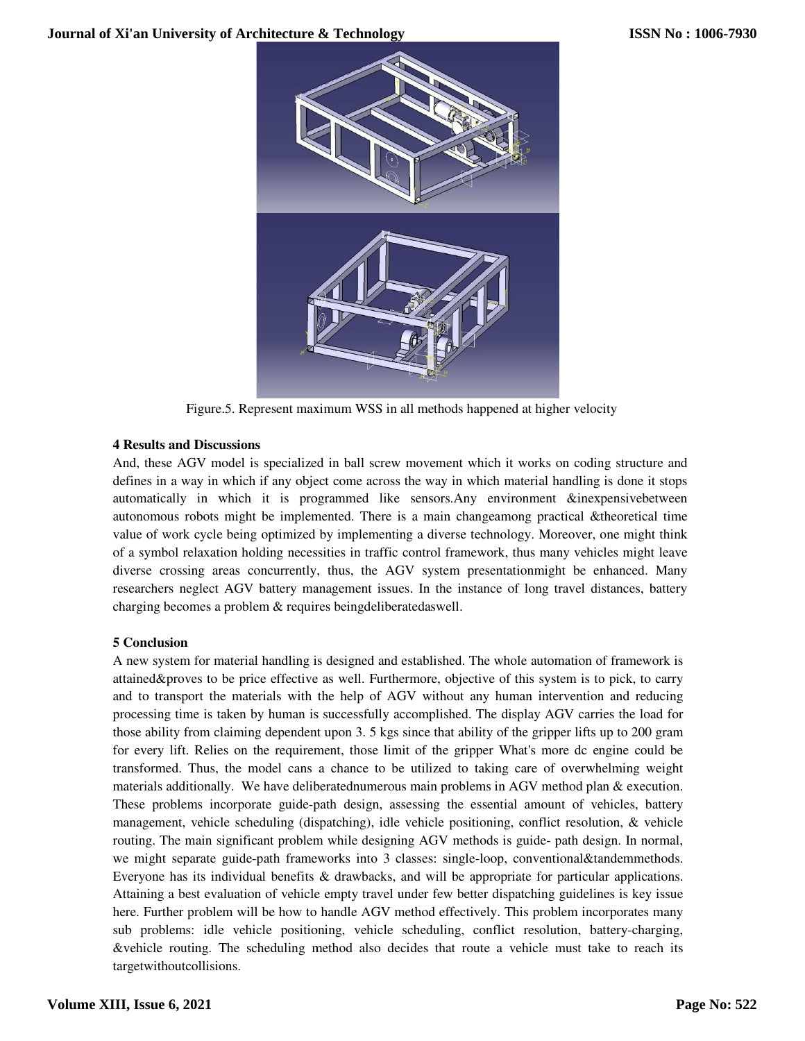

Figure.5. Represent maximum WSS in all methods happened at higher velocity

## **4 Results and Discussions**

And, these AGV model is specialized in ball screw movement which it works on coding structure and defines in a way in which if any object come across the way in which material handling is done it stops And, these AGV model is specialized in ball screw movement which it works on coding structure and defines in a way in which if any object come across the way in which material handling is done it stops automatically in whi autonomous robots might be implemented. There is a main changeamong practical  $\&$ value of work cycle being optimized by implementing a diverse technology. Moreover, one might think of a symbol relaxation holding necessities necessities in traffic control framework, thus many vehicles might leave diverse crossing areas concurrently, thus, the AGV system presentationmight be enhanced. Many researchers neglect AGV battery management issues. In the instance of long travel distances, battery researchers neglect AGV battery management issues. In the instance of long travel distances, charging becomes a problem & requires beingdeliberatedaswell. Figure.5. Represent maximum WSS in all methods happened at higher velocity<br>
ults and Discussions<br>
these AGV model is specialized in ball screw movement which it works on coding structure and<br>
es in a way in which if any ob

## **5 Conclusion**

A new system for material handling is designed and established. The whole automation of framework is attained&proves to be price effective as well. Furthermore, objective of this system is to pick, to carry and to transport the materials with the help of AGV without any human intervention and reducing and to transport the materials with the help of AGV without any human intervention and reducing<br>processing time is taken by human is successfully accomplished. The display AGV carries the load for those ability from claiming dependent upon 3. 5 kgs since that ability of the gripper lifts up to 200 gram for every lift. Relies on the requirement, those limit of the gripper What's more dc engine could be transformed. Thus, the model cans a chance to be utilized to taking care of overwhelming weight materials additionally. We have deliberatednumerous main problems in AGV method plan & execution These problems incorporate guide-path design, assessing the essential amount of vehicles, battery management, vehicle scheduling (dispatching), idle vehicle positioning, conflict resolution, & vehicle routing. The main significant problem while designing AGV methods is guide- path design. In normal, we might separate guide-path frameworks into 3 classes: single-loop, conventional&tandemmethods. Everyone has its individual benefits & drawbacks, and will be appropriate for particular applications. Attaining a best evaluation of vehicle empty travel under few better dispatching guidelines guidelines is key issue here. Further problem will be how to handle AGV method effectively. This problem incorporates many sub problems: idle vehicle positioning, vehicle scheduling, conflict resolution, battery-charging, &vehicle routing. The scheduling method a also decides that route a vehicle must take to reach its targetwithoutcollisions. ose ability from claiming dependent upon 3. 5 kgs since that ability of the gripper lifts up to 200 gram<br>or every lift. Relies on the requirement, those limit of the gripper What's more dc engine could be<br>ansformed. Thus, ined&proves to be price effective as well. Furthermore, objective of this system is to pick, to carry to transport the materials with the help of AGV without any human intervention and reducing eessing time is taken by hum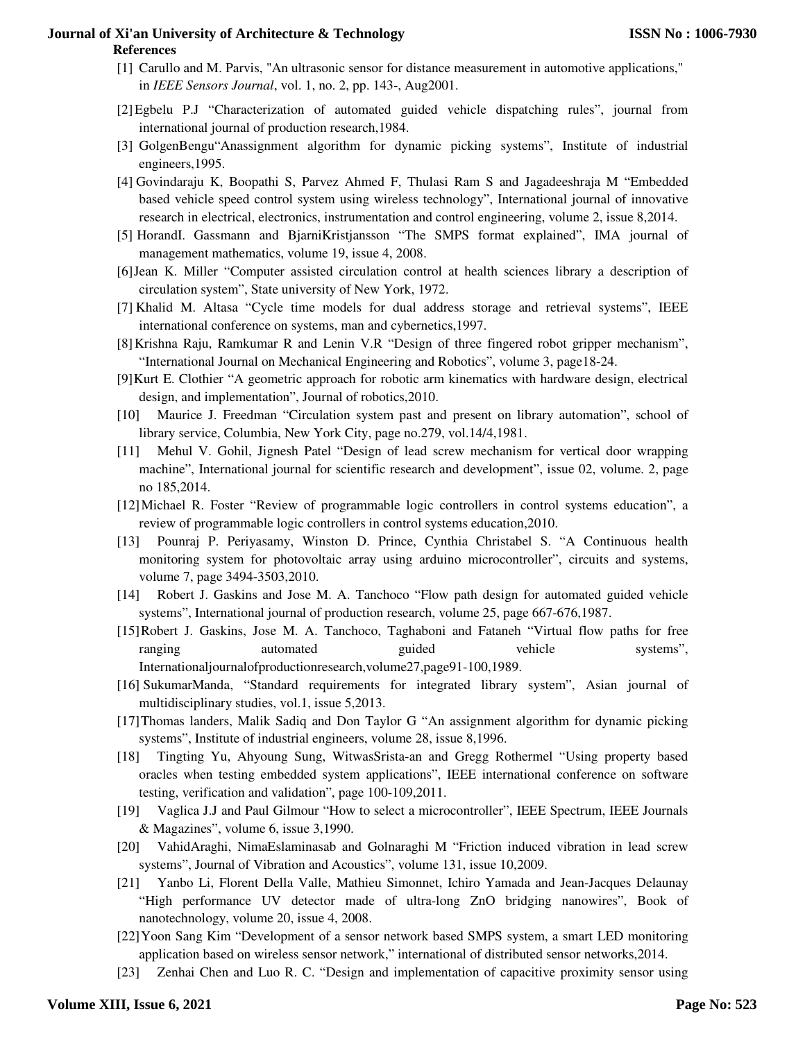- [1] Carullo and M. Parvis, "An ultrasonic sensor for distance measurement in automotive applications," in *IEEE Sensors Journal*, vol. 1, no. 2, pp. 143-, Aug2001.
- [2]Egbelu P.J "Characterization of automated guided vehicle dispatching rules", journal from international journal of production research,1984.
- [3] GolgenBengu"Anassignment algorithm for dynamic picking systems", Institute of industrial engineers,1995.
- [4] Govindaraju K, Boopathi S, Parvez Ahmed F, Thulasi Ram S and Jagadeeshraja M "Embedded based vehicle speed control system using wireless technology", International journal of innovative research in electrical, electronics, instrumentation and control engineering, volume 2, issue 8,2014.
- [5] HorandI. Gassmann and BjarniKristjansson "The SMPS format explained", IMA journal of management mathematics, volume 19, issue 4, 2008.
- [6]Jean K. Miller "Computer assisted circulation control at health sciences library a description of circulation system", State university of New York, 1972.
- [7] Khalid M. Altasa "Cycle time models for dual address storage and retrieval systems", IEEE international conference on systems, man and cybernetics,1997.
- [8]Krishna Raju, Ramkumar R and Lenin V.R "Design of three fingered robot gripper mechanism", "International Journal on Mechanical Engineering and Robotics", volume 3, page18-24.
- [9]Kurt E. Clothier "A geometric approach for robotic arm kinematics with hardware design, electrical design, and implementation", Journal of robotics,2010.
- [10] Maurice J. Freedman "Circulation system past and present on library automation", school of library service, Columbia, New York City, page no.279, vol.14/4,1981.
- [11] Mehul V. Gohil, Jignesh Patel "Design of lead screw mechanism for vertical door wrapping machine", International journal for scientific research and development", issue 02, volume. 2, page no 185,2014.
- [12]Michael R. Foster "Review of programmable logic controllers in control systems education", a review of programmable logic controllers in control systems education,2010.
- [13] Pounraj P. Periyasamy, Winston D. Prince, Cynthia Christabel S. "A Continuous health monitoring system for photovoltaic array using arduino microcontroller", circuits and systems, volume 7, page 3494-3503,2010.
- [14] Robert J. Gaskins and Jose M. A. Tanchoco "Flow path design for automated guided vehicle systems", International journal of production research, volume 25, page 667-676,1987.
- [15]Robert J. Gaskins, Jose M. A. Tanchoco, Taghaboni and Fataneh "Virtual flow paths for free ranging automated guided vehicle systems", Internationaljournalofproductionresearch,volume27,page91-100,1989.
- [16] SukumarManda, "Standard requirements for integrated library system", Asian journal of multidisciplinary studies, vol.1, issue 5,2013.
- [17]Thomas landers, Malik Sadiq and Don Taylor G "An assignment algorithm for dynamic picking systems", Institute of industrial engineers, volume 28, issue 8,1996.
- [18] Tingting Yu, Ahyoung Sung, WitwasSrista-an and Gregg Rothermel "Using property based oracles when testing embedded system applications", IEEE international conference on software testing, verification and validation", page 100-109,2011.
- [19] Vaglica J.J and Paul Gilmour "How to select a microcontroller", IEEE Spectrum, IEEE Journals & Magazines", volume 6, issue 3,1990.
- [20] VahidAraghi, NimaEslaminasab and Golnaraghi M "Friction induced vibration in lead screw systems", Journal of Vibration and Acoustics", volume 131, issue 10,2009.
- [21] Yanbo Li, Florent Della Valle, Mathieu Simonnet, Ichiro Yamada and Jean-Jacques Delaunay "High performance UV detector made of ultra-long ZnO bridging nanowires", Book of nanotechnology, volume 20, issue 4, 2008.
- [22]Yoon Sang Kim "Development of a sensor network based SMPS system, a smart LED monitoring application based on wireless sensor network," international of distributed sensor networks,2014.
- [23] Zenhai Chen and Luo R. C. "Design and implementation of capacitive proximity sensor using